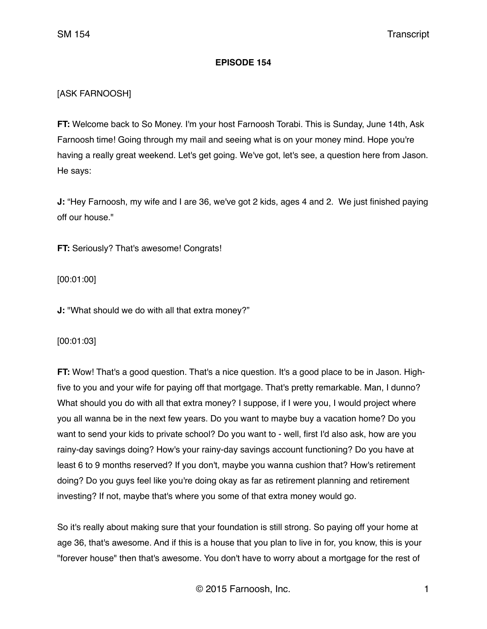## **EPISODE 154**

# [ASK FARNOOSH]

**FT:** Welcome back to So Money. I'm your host Farnoosh Torabi. This is Sunday, June 14th, Ask Farnoosh time! Going through my mail and seeing what is on your money mind. Hope you're having a really great weekend. Let's get going. We've got, let's see, a question here from Jason. He says:

**J:** "Hey Farnoosh, my wife and I are 36, we've got 2 kids, ages 4 and 2. We just finished paying off our house."

**FT:** Seriously? That's awesome! Congrats!

[00:01:00]

**J:** "What should we do with all that extra money?"

[00:01:03]

**FT:** Wow! That's a good question. That's a nice question. It's a good place to be in Jason. Highfive to you and your wife for paying off that mortgage. That's pretty remarkable. Man, I dunno? What should you do with all that extra money? I suppose, if I were you, I would project where you all wanna be in the next few years. Do you want to maybe buy a vacation home? Do you want to send your kids to private school? Do you want to - well, first I'd also ask, how are you rainy-day savings doing? How's your rainy-day savings account functioning? Do you have at least 6 to 9 months reserved? If you don't, maybe you wanna cushion that? How's retirement doing? Do you guys feel like you're doing okay as far as retirement planning and retirement investing? If not, maybe that's where you some of that extra money would go.

So it's really about making sure that your foundation is still strong. So paying off your home at age 36, that's awesome. And if this is a house that you plan to live in for, you know, this is your "forever house" then that's awesome. You don't have to worry about a mortgage for the rest of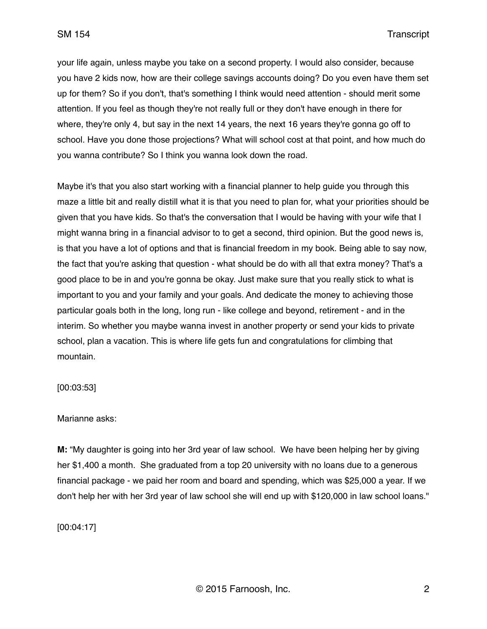your life again, unless maybe you take on a second property. I would also consider, because you have 2 kids now, how are their college savings accounts doing? Do you even have them set up for them? So if you don't, that's something I think would need attention - should merit some attention. If you feel as though they're not really full or they don't have enough in there for where, they're only 4, but say in the next 14 years, the next 16 years they're gonna go off to school. Have you done those projections? What will school cost at that point, and how much do you wanna contribute? So I think you wanna look down the road.

Maybe it's that you also start working with a financial planner to help guide you through this maze a little bit and really distill what it is that you need to plan for, what your priorities should be given that you have kids. So that's the conversation that I would be having with your wife that I might wanna bring in a financial advisor to to get a second, third opinion. But the good news is, is that you have a lot of options and that is financial freedom in my book. Being able to say now, the fact that you're asking that question - what should be do with all that extra money? That's a good place to be in and you're gonna be okay. Just make sure that you really stick to what is important to you and your family and your goals. And dedicate the money to achieving those particular goals both in the long, long run - like college and beyond, retirement - and in the interim. So whether you maybe wanna invest in another property or send your kids to private school, plan a vacation. This is where life gets fun and congratulations for climbing that mountain.

## [00:03:53]

## Marianne asks:

**M:** "My daughter is going into her 3rd year of law school. We have been helping her by giving her \$1,400 a month. She graduated from a top 20 university with no loans due to a generous financial package - we paid her room and board and spending, which was \$25,000 a year. If we don't help her with her 3rd year of law school she will end up with \$120,000 in law school loans."

[00:04:17]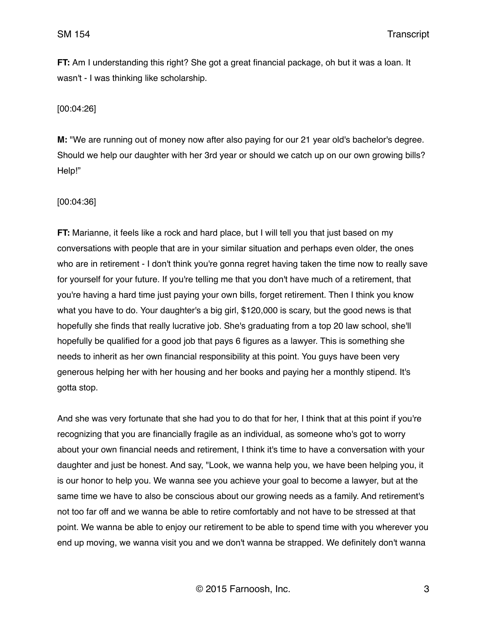**FT:** Am I understanding this right? She got a great financial package, oh but it was a loan. It wasn't - I was thinking like scholarship.

[00:04:26]

**M:** "We are running out of money now after also paying for our 21 year old's bachelor's degree. Should we help our daughter with her 3rd year or should we catch up on our own growing bills? Help!"

[00:04:36]

**FT:** Marianne, it feels like a rock and hard place, but I will tell you that just based on my conversations with people that are in your similar situation and perhaps even older, the ones who are in retirement - I don't think you're gonna regret having taken the time now to really save for yourself for your future. If you're telling me that you don't have much of a retirement, that you're having a hard time just paying your own bills, forget retirement. Then I think you know what you have to do. Your daughter's a big girl, \$120,000 is scary, but the good news is that hopefully she finds that really lucrative job. She's graduating from a top 20 law school, she'll hopefully be qualified for a good job that pays 6 figures as a lawyer. This is something she needs to inherit as her own financial responsibility at this point. You guys have been very generous helping her with her housing and her books and paying her a monthly stipend. It's gotta stop.

And she was very fortunate that she had you to do that for her, I think that at this point if you're recognizing that you are financially fragile as an individual, as someone who's got to worry about your own financial needs and retirement, I think it's time to have a conversation with your daughter and just be honest. And say, "Look, we wanna help you, we have been helping you, it is our honor to help you. We wanna see you achieve your goal to become a lawyer, but at the same time we have to also be conscious about our growing needs as a family. And retirement's not too far off and we wanna be able to retire comfortably and not have to be stressed at that point. We wanna be able to enjoy our retirement to be able to spend time with you wherever you end up moving, we wanna visit you and we don't wanna be strapped. We definitely don't wanna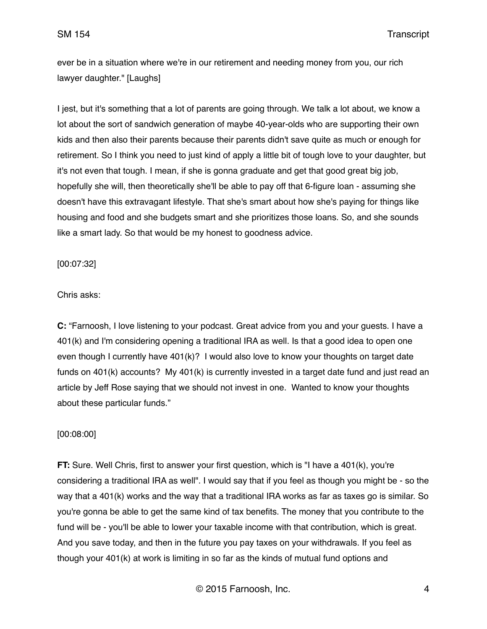ever be in a situation where we're in our retirement and needing money from you, our rich lawyer daughter." [Laughs]

I jest, but it's something that a lot of parents are going through. We talk a lot about, we know a lot about the sort of sandwich generation of maybe 40-year-olds who are supporting their own kids and then also their parents because their parents didn't save quite as much or enough for retirement. So I think you need to just kind of apply a little bit of tough love to your daughter, but it's not even that tough. I mean, if she is gonna graduate and get that good great big job, hopefully she will, then theoretically she'll be able to pay off that 6-figure loan - assuming she doesn't have this extravagant lifestyle. That she's smart about how she's paying for things like housing and food and she budgets smart and she prioritizes those loans. So, and she sounds like a smart lady. So that would be my honest to goodness advice.

[00:07:32]

Chris asks:

**C:** "Farnoosh, I love listening to your podcast. Great advice from you and your guests. I have a 401(k) and I'm considering opening a traditional IRA as well. Is that a good idea to open one even though I currently have 401(k)? I would also love to know your thoughts on target date funds on 401(k) accounts? My 401(k) is currently invested in a target date fund and just read an article by Jeff Rose saying that we should not invest in one. Wanted to know your thoughts about these particular funds."

## [00:08:00]

**FT:** Sure. Well Chris, first to answer your first question, which is "I have a 401(k), you're considering a traditional IRA as well". I would say that if you feel as though you might be - so the way that a 401(k) works and the way that a traditional IRA works as far as taxes go is similar. So you're gonna be able to get the same kind of tax benefits. The money that you contribute to the fund will be - you'll be able to lower your taxable income with that contribution, which is great. And you save today, and then in the future you pay taxes on your withdrawals. If you feel as though your 401(k) at work is limiting in so far as the kinds of mutual fund options and

© 2015 Farnoosh, Inc. 4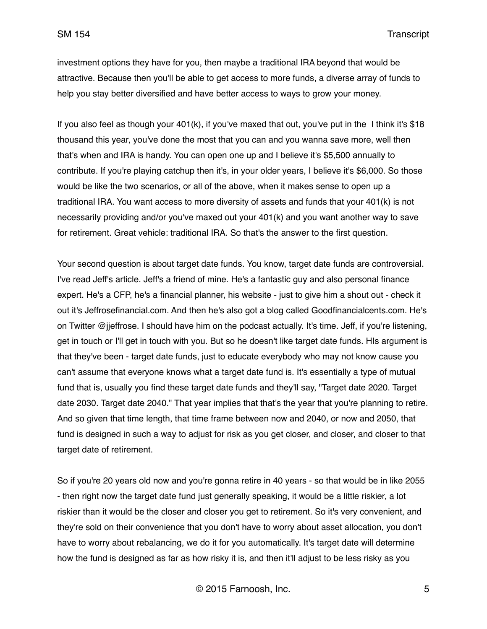investment options they have for you, then maybe a traditional IRA beyond that would be attractive. Because then you'll be able to get access to more funds, a diverse array of funds to help you stay better diversified and have better access to ways to grow your money.

If you also feel as though your 401(k), if you've maxed that out, you've put in the I think it's \$18 thousand this year, you've done the most that you can and you wanna save more, well then that's when and IRA is handy. You can open one up and I believe it's \$5,500 annually to contribute. If you're playing catchup then it's, in your older years, I believe it's \$6,000. So those would be like the two scenarios, or all of the above, when it makes sense to open up a traditional IRA. You want access to more diversity of assets and funds that your 401(k) is not necessarily providing and/or you've maxed out your 401(k) and you want another way to save for retirement. Great vehicle: traditional IRA. So that's the answer to the first question.

Your second question is about target date funds. You know, target date funds are controversial. I've read Jeff's article. Jeff's a friend of mine. He's a fantastic guy and also personal finance expert. He's a CFP, he's a financial planner, his website - just to give him a shout out - check it out it's Jeffrosefinancial.com. And then he's also got a blog called Goodfinancialcents.com. He's on Twitter @jjeffrose. I should have him on the podcast actually. It's time. Jeff, if you're listening, get in touch or I'll get in touch with you. But so he doesn't like target date funds. HIs argument is that they've been - target date funds, just to educate everybody who may not know cause you can't assume that everyone knows what a target date fund is. It's essentially a type of mutual fund that is, usually you find these target date funds and they'll say, "Target date 2020. Target date 2030. Target date 2040." That year implies that that's the year that you're planning to retire. And so given that time length, that time frame between now and 2040, or now and 2050, that fund is designed in such a way to adjust for risk as you get closer, and closer, and closer to that target date of retirement.

So if you're 20 years old now and you're gonna retire in 40 years - so that would be in like 2055 - then right now the target date fund just generally speaking, it would be a little riskier, a lot riskier than it would be the closer and closer you get to retirement. So it's very convenient, and they're sold on their convenience that you don't have to worry about asset allocation, you don't have to worry about rebalancing, we do it for you automatically. It's target date will determine how the fund is designed as far as how risky it is, and then it'll adjust to be less risky as you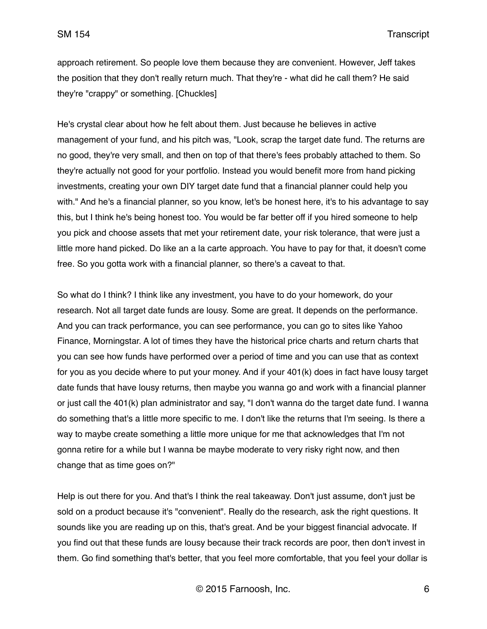SM 154 Transcript

approach retirement. So people love them because they are convenient. However, Jeff takes the position that they don't really return much. That they're - what did he call them? He said they're "crappy" or something. [Chuckles]

He's crystal clear about how he felt about them. Just because he believes in active management of your fund, and his pitch was, "Look, scrap the target date fund. The returns are no good, they're very small, and then on top of that there's fees probably attached to them. So they're actually not good for your portfolio. Instead you would benefit more from hand picking investments, creating your own DIY target date fund that a financial planner could help you with." And he's a financial planner, so you know, let's be honest here, it's to his advantage to say this, but I think he's being honest too. You would be far better off if you hired someone to help you pick and choose assets that met your retirement date, your risk tolerance, that were just a little more hand picked. Do like an a la carte approach. You have to pay for that, it doesn't come free. So you gotta work with a financial planner, so there's a caveat to that.

So what do I think? I think like any investment, you have to do your homework, do your research. Not all target date funds are lousy. Some are great. It depends on the performance. And you can track performance, you can see performance, you can go to sites like Yahoo Finance, Morningstar. A lot of times they have the historical price charts and return charts that you can see how funds have performed over a period of time and you can use that as context for you as you decide where to put your money. And if your 401(k) does in fact have lousy target date funds that have lousy returns, then maybe you wanna go and work with a financial planner or just call the 401(k) plan administrator and say, "I don't wanna do the target date fund. I wanna do something that's a little more specific to me. I don't like the returns that I'm seeing. Is there a way to maybe create something a little more unique for me that acknowledges that I'm not gonna retire for a while but I wanna be maybe moderate to very risky right now, and then change that as time goes on?"

Help is out there for you. And that's I think the real takeaway. Don't just assume, don't just be sold on a product because it's "convenient". Really do the research, ask the right questions. It sounds like you are reading up on this, that's great. And be your biggest financial advocate. If you find out that these funds are lousy because their track records are poor, then don't invest in them. Go find something that's better, that you feel more comfortable, that you feel your dollar is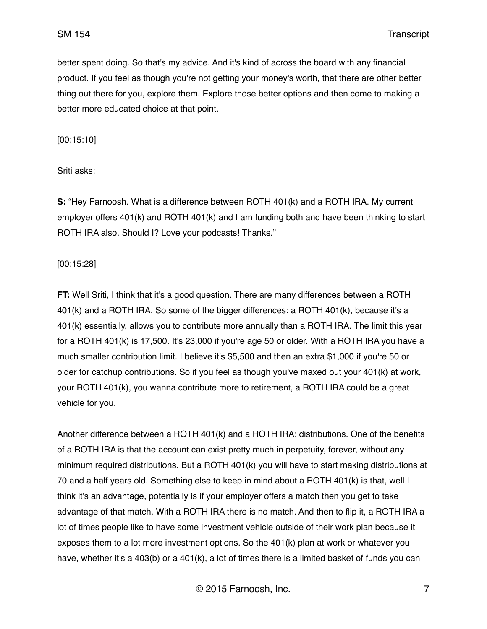better spent doing. So that's my advice. And it's kind of across the board with any financial product. If you feel as though you're not getting your money's worth, that there are other better thing out there for you, explore them. Explore those better options and then come to making a better more educated choice at that point.

[00:15:10]

Sriti asks:

**S:** "Hey Farnoosh. What is a difference between ROTH 401(k) and a ROTH IRA. My current employer offers 401(k) and ROTH 401(k) and I am funding both and have been thinking to start ROTH IRA also. Should I? Love your podcasts! Thanks."

#### [00:15:28]

**FT:** Well Sriti, I think that it's a good question. There are many differences between a ROTH 401(k) and a ROTH IRA. So some of the bigger differences: a ROTH 401(k), because it's a 401(k) essentially, allows you to contribute more annually than a ROTH IRA. The limit this year for a ROTH 401(k) is 17,500. It's 23,000 if you're age 50 or older. With a ROTH IRA you have a much smaller contribution limit. I believe it's \$5,500 and then an extra \$1,000 if you're 50 or older for catchup contributions. So if you feel as though you've maxed out your 401(k) at work, your ROTH 401(k), you wanna contribute more to retirement, a ROTH IRA could be a great vehicle for you.

Another difference between a ROTH 401(k) and a ROTH IRA: distributions. One of the benefits of a ROTH IRA is that the account can exist pretty much in perpetuity, forever, without any minimum required distributions. But a ROTH 401(k) you will have to start making distributions at 70 and a half years old. Something else to keep in mind about a ROTH 401(k) is that, well I think it's an advantage, potentially is if your employer offers a match then you get to take advantage of that match. With a ROTH IRA there is no match. And then to flip it, a ROTH IRA a lot of times people like to have some investment vehicle outside of their work plan because it exposes them to a lot more investment options. So the 401(k) plan at work or whatever you have, whether it's a 403(b) or a 401(k), a lot of times there is a limited basket of funds you can

© 2015 Farnoosh, Inc. 7